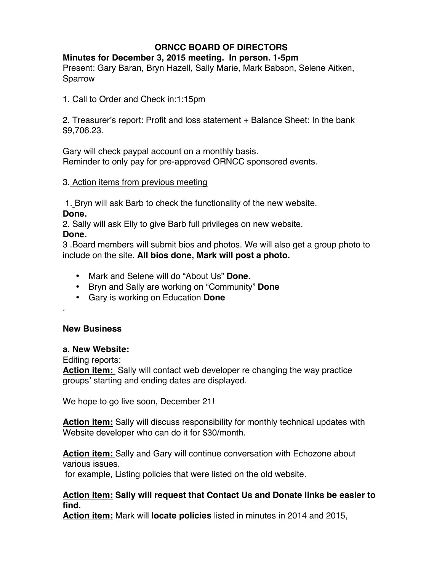# **ORNCC BOARD OF DIRECTORS**

### **Minutes for December 3, 2015 meeting. In person. 1-5pm**

Present: Gary Baran, Bryn Hazell, Sally Marie, Mark Babson, Selene Aitken, Sparrow

1. Call to Order and Check in:1:15pm

2. Treasurer's report: Profit and loss statement + Balance Sheet: In the bank \$9,706.23.

Gary will check paypal account on a monthly basis. Reminder to only pay for pre-approved ORNCC sponsored events.

#### 3. Action items from previous meeting

1. Bryn will ask Barb to check the functionality of the new website. **Done.**

2. Sally will ask Elly to give Barb full privileges on new website. **Done.**

3 .Board members will submit bios and photos. We will also get a group photo to include on the site. **All bios done, Mark will post a photo.**

- Mark and Selene will do "About Us" **Done.**
- Bryn and Sally are working on "Community" **Done**
- Gary is working on Education **Done**

## **New Business**

.

#### **a. New Website:**

Editing reports:

**Action item:** Sally will contact web developer re changing the way practice groups' starting and ending dates are displayed.

We hope to go live soon, December 21!

**Action item:** Sally will discuss responsibility for monthly technical updates with Website developer who can do it for \$30/month.

**Action item:** Sally and Gary will continue conversation with Echozone about various issues.

for example, Listing policies that were listed on the old website.

#### **Action item: Sally will request that Contact Us and Donate links be easier to find.**

**Action item:** Mark will **locate policies** listed in minutes in 2014 and 2015,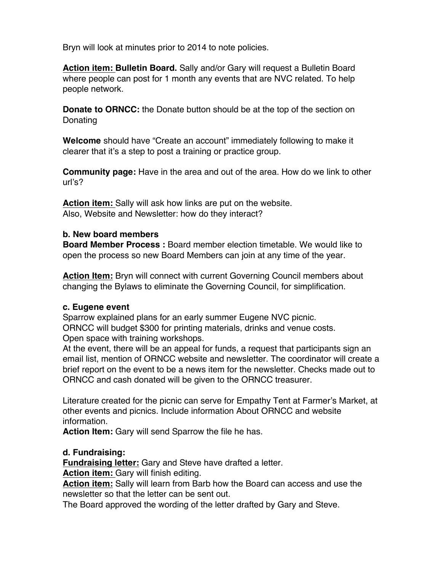Bryn will look at minutes prior to 2014 to note policies.

**Action item: Bulletin Board.** Sally and/or Gary will request a Bulletin Board where people can post for 1 month any events that are NVC related. To help people network.

**Donate to ORNCC:** the Donate button should be at the top of the section on Donating

**Welcome** should have "Create an account" immediately following to make it clearer that it's a step to post a training or practice group.

**Community page:** Have in the area and out of the area. How do we link to other url's?

**Action item:** Sally will ask how links are put on the website. Also, Website and Newsletter: how do they interact?

#### **b. New board members**

**Board Member Process :** Board member election timetable. We would like to open the process so new Board Members can join at any time of the year.

**Action Item:** Bryn will connect with current Governing Council members about changing the Bylaws to eliminate the Governing Council, for simplification.

#### **c. Eugene event**

Sparrow explained plans for an early summer Eugene NVC picnic. ORNCC will budget \$300 for printing materials, drinks and venue costs. Open space with training workshops.

At the event, there will be an appeal for funds, a request that participants sign an email list, mention of ORNCC website and newsletter. The coordinator will create a brief report on the event to be a news item for the newsletter. Checks made out to ORNCC and cash donated will be given to the ORNCC treasurer.

Literature created for the picnic can serve for Empathy Tent at Farmer's Market, at other events and picnics. Include information About ORNCC and website information.

**Action Item:** Gary will send Sparrow the file he has.

## **d. Fundraising:**

**Fundraising letter:** Gary and Steve have drafted a letter.

**Action item:** Gary will finish editing.

**Action item:** Sally will learn from Barb how the Board can access and use the newsletter so that the letter can be sent out.

The Board approved the wording of the letter drafted by Gary and Steve.